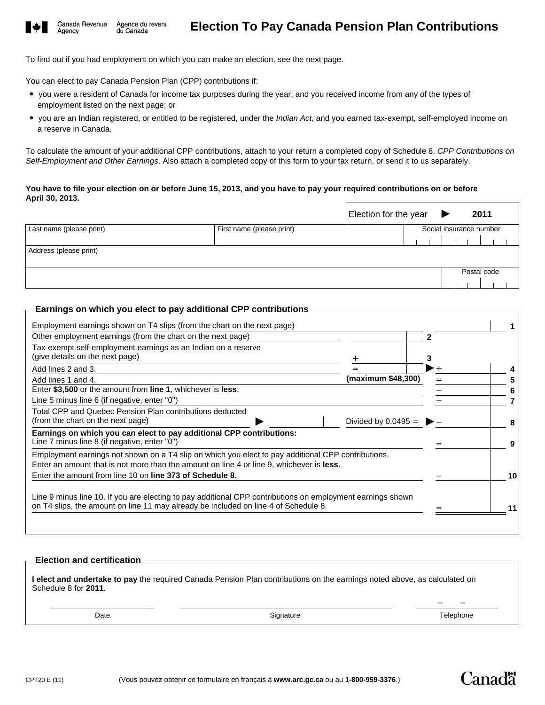

Agency

To find out if you had employment on which you can make an election, see the next page.

You can elect to pay Canada Pension Plan (CPP) contributions if:

- you were a resident of Canada for income tax purposes during the year, and you received income from any of the types of employment listed on the next page; or
- you are an Indian registered, or entitled to be registered, under the *Indian Act*, and you earned tax-exempt, self-employed income on a reserve in Canada.

To calculate the amount of your additional CPP contributions, attach to your return a completed copy of Schedule 8, *CPP Contributions on Self-Employment and Other Earnings*. Also attach a completed copy of this form to your tax return, or send it to us separately.

### **You have to file your election on or before June 15, 2013, and you have to pay your required contributions on or before April 30, 2013.**

|                          |                           | Election for the year |                         |  | 2011        |  |
|--------------------------|---------------------------|-----------------------|-------------------------|--|-------------|--|
| Last name (please print) | First name (please print) |                       | Social insurance number |  |             |  |
|                          |                           |                       |                         |  |             |  |
| Address (please print)   |                           |                       |                         |  |             |  |
|                          |                           |                       |                         |  |             |  |
|                          |                           |                       |                         |  | Postal code |  |
|                          |                           |                       |                         |  |             |  |

## **Earnings on which you elect to pay additional CPP contributions**

| Other employment earnings (from the chart on the next page)                                                                                                                                                                                                                                                                                                                                         |                       |  |    |
|-----------------------------------------------------------------------------------------------------------------------------------------------------------------------------------------------------------------------------------------------------------------------------------------------------------------------------------------------------------------------------------------------------|-----------------------|--|----|
| Tax-exempt self-employment earnings as an Indian on a reserve                                                                                                                                                                                                                                                                                                                                       |                       |  |    |
| (give details on the next page)                                                                                                                                                                                                                                                                                                                                                                     |                       |  |    |
| Add lines 2 and 3.                                                                                                                                                                                                                                                                                                                                                                                  |                       |  |    |
| Add lines 1 and 4.                                                                                                                                                                                                                                                                                                                                                                                  | (maximum \$48,300)    |  |    |
| Enter \$3,500 or the amount from line 1, whichever is less.                                                                                                                                                                                                                                                                                                                                         |                       |  | 6  |
| Line 5 minus line 6 (if negative, enter "0")                                                                                                                                                                                                                                                                                                                                                        |                       |  |    |
| Total CPP and Quebec Pension Plan contributions deducted                                                                                                                                                                                                                                                                                                                                            |                       |  |    |
| (from the chart on the next page)                                                                                                                                                                                                                                                                                                                                                                   | Divided by $0.0495 =$ |  |    |
| Earnings on which you can elect to pay additional CPP contributions:                                                                                                                                                                                                                                                                                                                                |                       |  |    |
| Line 7 minus line 8 (if negative, enter "0")                                                                                                                                                                                                                                                                                                                                                        |                       |  |    |
|                                                                                                                                                                                                                                                                                                                                                                                                     |                       |  |    |
|                                                                                                                                                                                                                                                                                                                                                                                                     |                       |  |    |
| Enter the amount from line 10 on line 373 of Schedule 8.                                                                                                                                                                                                                                                                                                                                            |                       |  | 10 |
|                                                                                                                                                                                                                                                                                                                                                                                                     |                       |  |    |
|                                                                                                                                                                                                                                                                                                                                                                                                     |                       |  |    |
|                                                                                                                                                                                                                                                                                                                                                                                                     |                       |  |    |
| Employment earnings not shown on a T4 slip on which you elect to pay additional CPP contributions.<br>Enter an amount that is not more than the amount on line 4 or line 9, whichever is less.<br>Line 9 minus line 10. If you are electing to pay additional CPP contributions on employment earnings shown<br>on T4 slips, the amount on line 11 may already be included on line 4 of Schedule 8. |                       |  |    |

## **Election and certification**

**I elect and undertake to pay** the required Canada Pension Plan contributions on the earnings noted above, as calculated on Schedule 8 for **2011**.

Date

Canadä